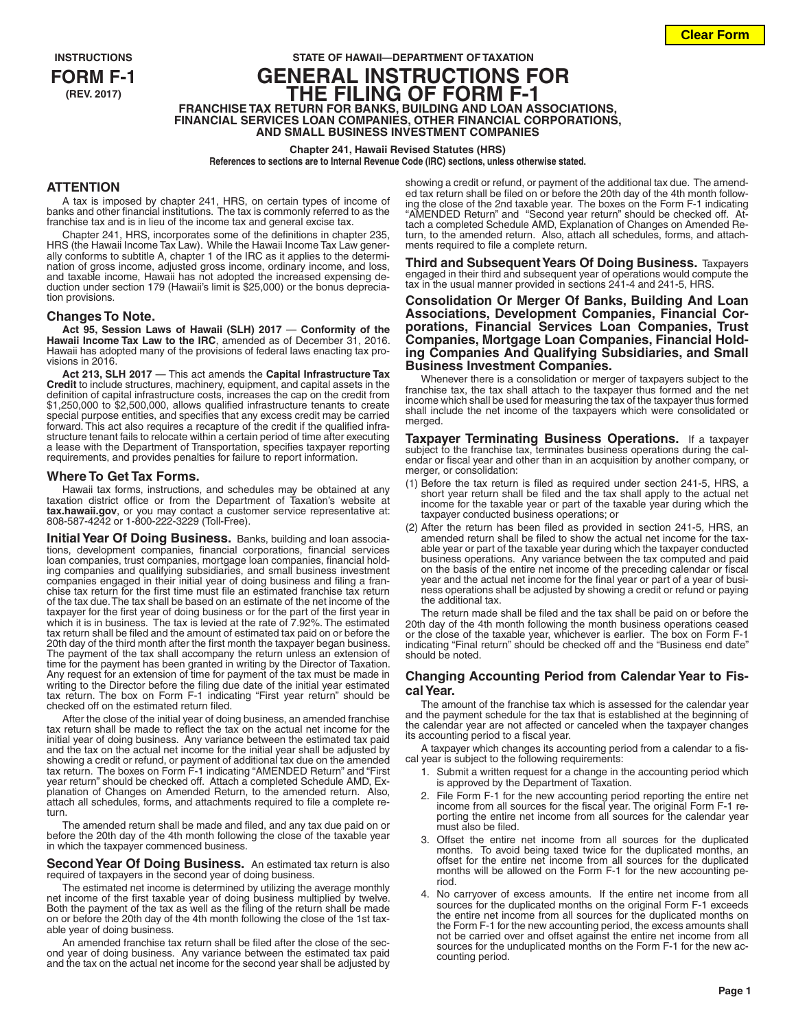# **INSTRUCTIONS STATE OF HAWAII—DEPARTMENT OF TAXATION FORM F-1 GENERAL INSTRUCTIONS FOR (REV. 2017) THE FILING OF FORM F-1 FRANCHISE TAX RETURN FOR BANKS, BUILDING AND LOAN ASSOCIATIONS, FINANCIAL SERVICES LOAN COMPANIES, OTHER FINANCIAL CORPORATIONS, AND SMALL BUSINESS INVESTMENT COMPANIES**

#### **Chapter 241, Hawaii Revised Statutes (HRS)**

**References to sections are to Internal Revenue Code (IRC) sections, unless otherwise stated.**

#### **ATTENTION**

A tax is imposed by chapter 241, HRS, on certain types of income of banks and other financial institutions. The tax is commonly referred to as the franchise tax and is in lieu of the income tax and general excise tax.

Chapter 241, HRS, incorporates some of the definitions in chapter 235, HRS (the Hawaii Income Tax Law). While the Hawaii Income Tax Law generally conforms to subtitle A, chapter 1 of the IRC as it applies to the determination of gross income, adjusted gross income, ordinary income, and loss, and taxable income, Hawaii has not adopted the increased expensing deduction under section 179 (Hawaii's limit is \$25,000) or the bonus depreciation provisions.

### **Changes To Note.**

**Act 95, Session Laws of Hawaii (SLH) 2017** — **Conformity of the Hawaii Income Tax Law to the IRC**, amended as of December 31, 2016. Hawaii has adopted many of the provisions of federal laws enacting tax provisions in 2016.

**Act 213, SLH 2017** — This act amends the **Capital Infrastructure Tax Credit** to include structures, machinery, equipment, and capital assets in the definition of capital infrastructure costs, increases the cap on the credit from \$1,250,000 to \$2,500,000, allows qualified infrastructure tenants to create special purpose entities, and specifies that any excess credit may be carried forward. This act also requires a recapture of the credit if the qualified infrastructure tenant fails to relocate within a certain period of time after executing a lease with the Department of Transportation, specifies taxpayer reporting requirements, and provides penalties for failure to report information.

#### **Where To Get Tax Forms.**

Hawaii tax forms, instructions, and schedules may be obtained at any taxation district office or from the Department of Taxation's website at **tax.hawaii.gov**, or you may contact a customer service representative at: 808-587-4242 or 1-800-222-3229 (Toll-Free).

**Initial Year Of Doing Business.** Banks, building and loan associa-tions, development companies, financial corporations, financial services loan companies, trust companies, mortgage loan companies, financial holding companies and qualifying subsidiaries, and small business investment companies engaged in their initial year of doing business and filing a franchise tax return for the first time must file an estimated franchise tax return of the tax due. The tax shall be based on an estimate of the net income of the taxpayer for the first year of doing business or for the part of the first year in which it is in business. The tax is levied at the rate of 7.92%. The estimated tax return shall be filed and the amount of estimated tax paid on or before the 20th day of the third month after the first month the taxpayer began business. The payment of the tax shall accompany the return unless an extension of time for the payment has been granted in writing by the Director of Taxation. Any request for an extension of time for payment of the tax must be made in writing to the Director before the filing due date of the initial year estimated tax return. The box on Form F-1 indicating "First year return" should be checked off on the estimated return filed.

After the close of the initial year of doing business, an amended franchise tax return shall be made to reflect the tax on the actual net income for the initial year of doing business. Any variance between the estimated tax paid and the tax on the actual net income for the initial year shall be adjusted by showing a credit or refund, or payment of additional tax due on the amended tax return. The boxes on Form F-1 indicating "AMENDED Return" and "First year return" should be checked off. Attach a completed Schedule AMD, Explanation of Changes on Amended Return, to the amended return. Also, attach all schedules, forms, and attachments required to file a complete return.

The amended return shall be made and filed, and any tax due paid on or before the 20th day of the 4th month following the close of the taxable year in which the taxpayer commenced business.

**Second Year Of Doing Business.** An estimated tax return is also required of taxpayers in the second year of doing business.

The estimated net income is determined by utilizing the average monthly net income of the first taxable year of doing business multiplied by twelve. Both the payment of the tax as well as the filing of the return shall be made on or before the 20th day of the 4th month following the close of the 1st taxable year of doing business.

An amended franchise tax return shall be filed after the close of the second year of doing business. Any variance between the estimated tax paid and the tax on the actual net income for the second year shall be adjusted by showing a credit or refund, or payment of the additional tax due. The amended tax return shall be filed on or before the 20th day of the 4th month following the close of the 2nd taxable year. The boxes on the Form F-1 indicating "AMENDED Return" and "Second year return" should be checked off. Attach a completed Schedule AMD, Explanation of Changes on Amended Return, to the amended return. Also, attach all schedules, forms, and attachments required to file a complete return.

**Third and Subsequent Years Of Doing Business.** Taxpayers engaged in their third and subsequent year of operations would compute the tax in the usual manner provided in sections 241-4 and 241-5, HRS.

**Consolidation Or Merger Of Banks, Building And Loan Associations, Development Companies, Financial Corporations, Financial Services Loan Companies, Trust Companies, Mortgage Loan Companies, Financial Holding Companies And Qualifying Subsidiaries, and Small Business Investment Companies.**

Whenever there is a consolidation or merger of taxpayers subject to the franchise tax, the tax shall attach to the taxpayer thus formed and the net income which shall be used for measuring the tax of the taxpayer thus formed shall include the net income of the taxpayers which were consolidated or merged.

**Taxpayer Terminating Business Operations.** If a taxpayer subject to the franchise tax, terminates business operations during the calendar or fiscal year and other than in an acquisition by another company, or merger, or consolidation:

- (1) Before the tax return is filed as required under section 241-5, HRS, a short year return shall be filed and the tax shall apply to the actual net income for the taxable year or part of the taxable year during which the taxpayer conducted business operations; or
- (2) After the return has been filed as provided in section 241-5, HRS, an amended return shall be filed to show the actual net income for the taxable year or part of the taxable year during which the taxpayer conducted business operations. Any variance between the tax computed and paid on the basis of the entire net income of the preceding calendar or fiscal year and the actual net income for the final year or part of a year of business operations shall be adjusted by showing a credit or refund or paying the additional tax.

The return made shall be filed and the tax shall be paid on or before the 20th day of the 4th month following the month business operations ceased or the close of the taxable year, whichever is earlier. The box on Form F-1 indicating "Final return" should be checked off and the "Business end date" should be noted.

### **Changing Accounting Period from Calendar Year to Fiscal Year.**

The amount of the franchise tax which is assessed for the calendar year and the payment schedule for the tax that is established at the beginning of the calendar year are not affected or canceled when the taxpayer changes its accounting period to a fiscal year.

A taxpayer which changes its accounting period from a calendar to a fiscal year is subject to the following requirements:

- 1. Submit a written request for a change in the accounting period which is approved by the Department of Taxation.
- 2. File Form F-1 for the new accounting period reporting the entire net income from all sources for the fiscal year. The original Form F-1 reporting the entire net income from all sources for the calendar year must also be filed.
- 3. Offset the entire net income from all sources for the duplicated months. To avoid being taxed twice for the duplicated months, an offset for the entire net income from all sources for the duplicated months will be allowed on the Form F-1 for the new accounting period.
- 4. No carryover of excess amounts. If the entire net income from all sources for the duplicated months on the original Form F-1 exceeds the entire net income from all sources for the duplicated months on the Form F-1 for the new accounting period, the excess amounts shall not be carried over and offset against the entire net income from all sources for the unduplicated months on the Form F-1 for the new accounting period.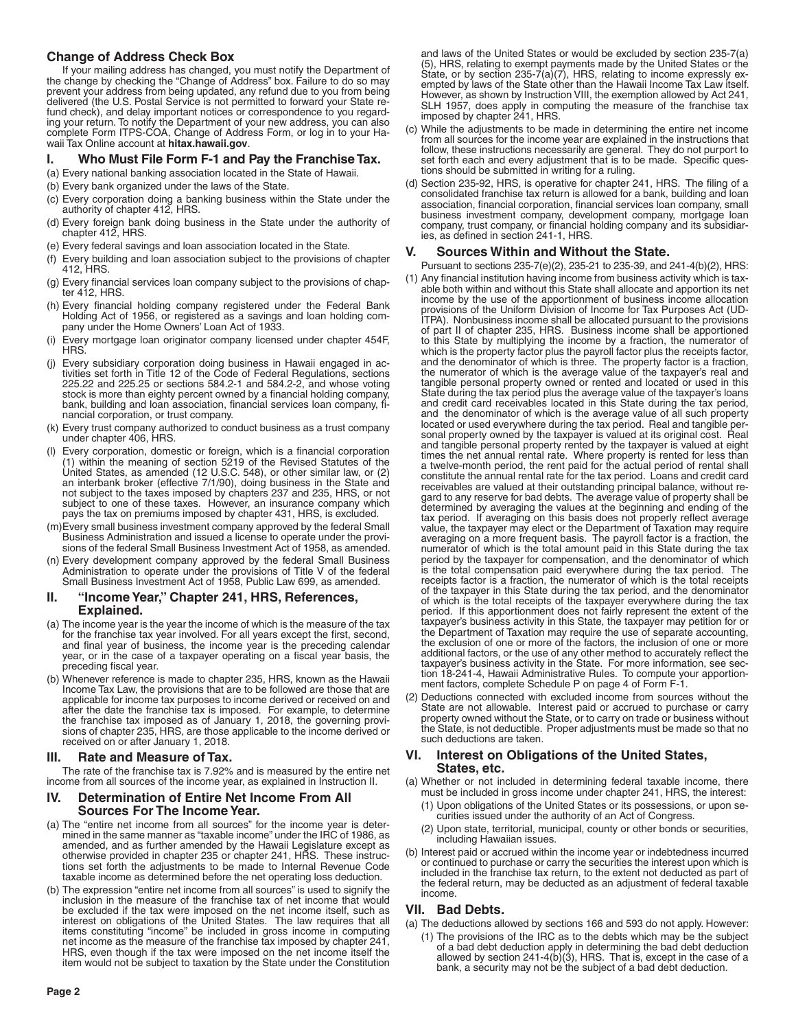# **Change of Address Check Box**

If your mailing address has changed, you must notify the Department of the change by checking the "Change of Address" box. Failure to do so may prevent your address from being updated, any refund due to you from being delivered (the U.S. Postal Service is not permitted to forward your State refund check), and delay important notices or correspondence to you regarding your return. To notify the Department of your new address, you can also complete Form ITPS-COA, Change of Address Form, or log in to your Hawaii Tax Online account at **hitax.hawaii.gov**.

# **I. Who Must File Form F-1 and Pay the Franchise Tax.**

- (a) Every national banking association located in the State of Hawaii.
- (b) Every bank organized under the laws of the State.
- (c) Every corporation doing a banking business within the State under the authority of chapter 412, HRS.
- (d) Every foreign bank doing business in the State under the authority of chapter 412, HRS.
- (e) Every federal savings and loan association located in the State.
- (f) Every building and loan association subject to the provisions of chapter 412, HRS.
- (g) Every financial services loan company subject to the provisions of chapter 412, HRS.
- (h) Every financial holding company registered under the Federal Bank Holding Act of 1956, or registered as a savings and loan holding company under the Home Owners' Loan Act of 1933.
- Every mortgage loan originator company licensed under chapter 454F, HRS.
- (j) Every subsidiary corporation doing business in Hawaii engaged in activities set forth in Title 12 of the Code of Federal Regulations, sections 225.22 and 225.25 or sections 584.2-1 and 584.2-2, and whose voting stock is more than eighty percent owned by a financial holding company, bank, building and loan association, financial services loan company, financial corporation, or trust company.
- (k) Every trust company authorized to conduct business as a trust company under chapter 406, HRS.
- (l) Every corporation, domestic or foreign, which is a financial corporation (1) within the meaning of section 5219 of the Revised Statutes of the United States, as amended (12 U.S.C. 548), or other similar law, or (2) an interbank broker (effective 7/1/90), doing business in the State and not subject to the taxes imposed by chapters 237 and 235, HRS, or not subject to one of these taxes. However, an insurance company which pays the tax on premiums imposed by chapter 431, HRS, is excluded.
- (m)Every small business investment company approved by the federal Small Business Administration and issued a license to operate under the provisions of the federal Small Business Investment Act of 1958, as amended.
- (n) Every development company approved by the federal Small Business Administration to operate under the provisions of Title V of the federal Small Business Investment Act of 1958, Public Law 699, as amended.

### **II. "Income Year," Chapter 241, HRS, References, Explained.**

- (a) The income year is the year the income of which is the measure of the tax for the franchise tax year involved. For all years except the first, second, and final year of business, the income year is the preceding calendar year, or in the case of a taxpayer operating on a fiscal year basis, the preceding fiscal year.
- (b) Whenever reference is made to chapter 235, HRS, known as the Hawaii Income Tax Law, the provisions that are to be followed are those that are applicable for income tax purposes to income derived or received on and after the date the franchise tax is imposed. For example, to determine the franchise tax imposed as of January 1, 2018, the governing provisions of chapter 235, HRS, are those applicable to the income derived or received on or after January 1, 2018.

# **III. Rate and Measure of Tax.**

The rate of the franchise tax is 7.92% and is measured by the entire net income from all sources of the income year, as explained in Instruction II.

### **IV. Determination of Entire Net Income From All Sources For The Income Year.**

- (a) The "entire net income from all sources" for the income year is determined in the same manner as "taxable income" under the IRC of 1986, as amended, and as further amended by the Hawaii Legislature except as otherwise provided in chapter 235 or chapter 241, HRS. These instructions set forth the adjustments to be made to Internal Revenue Code taxable income as determined before the net operating loss deduction.
- (b) The expression "entire net income from all sources" is used to signify the inclusion in the measure of the franchise tax of net income that would be excluded if the tax were imposed on the net income itself, such as interest on obligations of the United States. The law requires that all items constituting "income" be included in gross income in computing net income as the measure of the franchise tax imposed by chapter 241, HRS, even though if the tax were imposed on the net income itself the item would not be subject to taxation by the State under the Constitution

and laws of the United States or would be excluded by section 235-7(a) (5), HRS, relating to exempt payments made by the United States or the State, or by section 235-7(a)(7), HRS, relating to income expressly exempted by laws of the State other than the Hawaii Income Tax Law itself. However, as shown by Instruction VIII, the exemption allowed by Act 241, SLH 1957, does apply in computing the measure of the franchise tax imposed by chapter 241, HRS.

- (c) While the adjustments to be made in determining the entire net income from all sources for the income year are explained in the instructions that follow, these instructions necessarily are general. They do not purport to set forth each and every adjustment that is to be made. Specific questions should be submitted in writing for a ruling.
- (d) Section 235-92, HRS, is operative for chapter 241, HRS. The filing of a consolidated franchise tax return is allowed for a bank, building and loan association, financial corporation, financial services loan company, small business investment company, development company, mortgage loan company, trust company, or financial holding company and its subsidiaries, as defined in section 241-1, HRS.

# **V. Sources Within and Without the State.**

Pursuant to sections 235-7(e)(2), 235-21 to 235-39, and 241-4(b)(2), HRS:

- (1) Any financial institution having income from business activity which is taxable both within and without this State shall allocate and apportion its net income by the use of the apportionment of business income allocation provisions of the Uniform Division of Income for Tax Purposes Act (UD-ITPA). Nonbusiness income shall be allocated pursuant to the provisions of part II of chapter 235, HRS. Business income shall be apportioned to this State by multiplying the income by a fraction, the numerator of which is the property factor plus the payroll factor plus the receipts factor, and the denominator of which is three. The property factor is a fraction, the numerator of which is the average value of the taxpayer's real and tangible personal property owned or rented and located or used in this State during the tax period plus the average value of the taxpayer's loans and credit card receivables located in this State during the tax period, and the denominator of which is the average value of all such property located or used everywhere during the tax period. Real and tangible personal property owned by the taxpayer is valued at its original cost. Real and tangible personal property rented by the taxpayer is valued at eight times the net annual rental rate. Where property is rented for less than a twelve-month period, the rent paid for the actual period of rental shall constitute the annual rental rate for the tax period. Loans and credit card receivables are valued at their outstanding principal balance, without regard to any reserve for bad debts. The average value of property shall be determined by averaging the values at the beginning and ending of the tax period. If averaging on this basis does not properly reflect average value, the taxpayer may elect or the Department of Taxation may require averaging on a more frequent basis. The payroll factor is a fraction, the numerator of which is the total amount paid in this State during the tax period by the taxpayer for compensation, and the denominator of which is the total compensation paid everywhere during the tax period. The receipts factor is a fraction, the numerator of which is the total receipts of the taxpayer in this State during the tax period, and the denominator of which is the total receipts of the taxpayer everywhere during the tax period. If this apportionment does not fairly represent the extent of the taxpayer's business activity in this State, the taxpayer may petition for or the Department of Taxation may require the use of separate accounting, the exclusion of one or more of the factors, the inclusion of one or more additional factors, or the use of any other method to accurately reflect the taxpayer's business activity in the State. For more information, see section 18-241-4, Hawaii Administrative Rules. To compute your apportionment factors, complete Schedule P on page 4 of Form F-1.
- (2) Deductions connected with excluded income from sources without the State are not allowable. Interest paid or accrued to purchase or carry property owned without the State, or to carry on trade or business without the State, is not deductible. Proper adjustments must be made so that no such deductions are taken.

### **VI. Interest on Obligations of the United States, States, etc.**

- (a) Whether or not included in determining federal taxable income, there must be included in gross income under chapter 241, HRS, the interest:
	- (1) Upon obligations of the United States or its possessions, or upon securities issued under the authority of an Act of Congress.
	- (2) Upon state, territorial, municipal, county or other bonds or securities, including Hawaiian issues.
- (b) Interest paid or accrued within the income year or indebtedness incurred or continued to purchase or carry the securities the interest upon which is included in the franchise tax return, to the extent not deducted as part of the federal return, may be deducted as an adjustment of federal taxable income.

# **VII. Bad Debts.**

(a) The deductions allowed by sections 166 and 593 do not apply. However: (1) The provisions of the IRC as to the debts which may be the subject of a bad debt deduction apply in determining the bad debt deduction allowed by section 241-4(b)(3), HRS. That is, except in the case of a bank, a security may not be the subject of a bad debt deduction.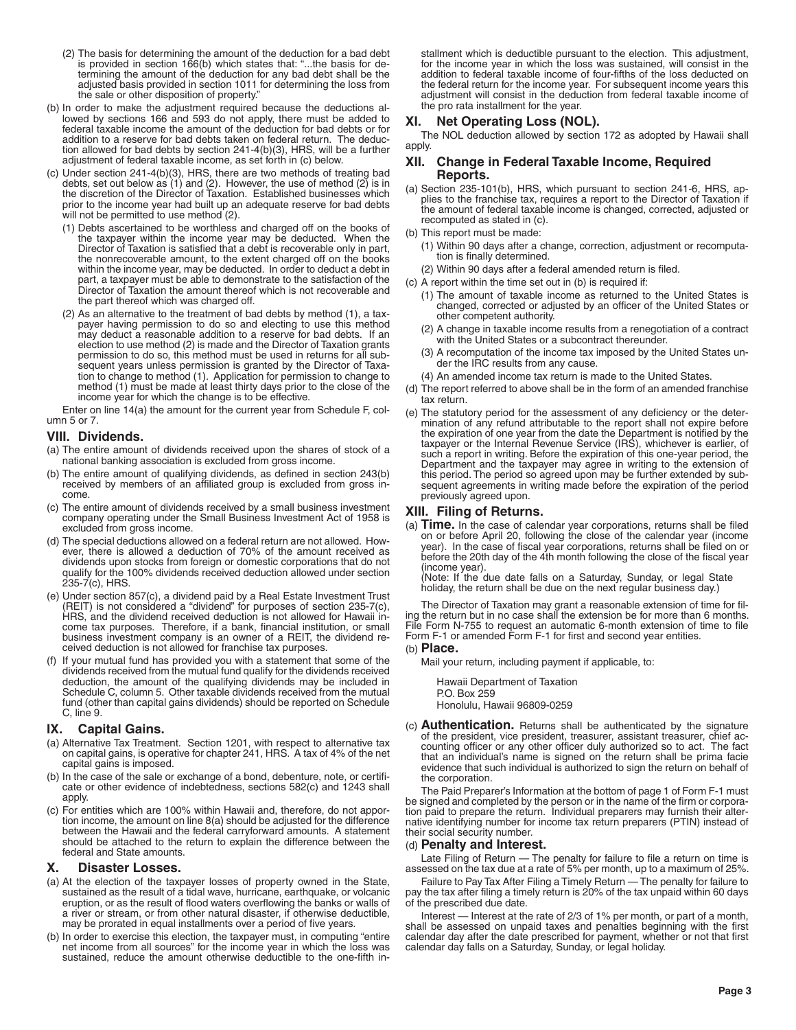- (2) The basis for determining the amount of the deduction for a bad debt is provided in section 166(b) which states that: "...the basis for determining the amount of the deduction for any bad debt shall be the adjusted basis provided in section 1011 for determining the loss from the sale or other disposition of property."
- (b) In order to make the adjustment required because the deductions allowed by sections 166 and 593 do not apply, there must be added to federal taxable income the amount of the deduction for bad debts or for addition to a reserve for bad debts taken on federal return. The deduction allowed for bad debts by section 241-4(b)(3), HRS, will be a further adjustment of federal taxable income, as set forth in (c) below.
- (c) Under section 241-4(b)(3), HRS, there are two methods of treating bad debts, set out below as  $(1)$  and  $(2)$ . However, the use of method  $(2)$  is in the discretion of the Director of Taxation. Established businesses which prior to the income year had built up an adequate reserve for bad debts will not be permitted to use method (2).
	- (1) Debts ascertained to be worthless and charged off on the books of the taxpayer within the income year may be deducted. When the Director of Taxation is satisfied that a debt is recoverable only in part, the nonrecoverable amount, to the extent charged off on the books within the income year, may be deducted. In order to deduct a debt in part, a taxpayer must be able to demonstrate to the satisfaction of the Director of Taxation the amount thereof which is not recoverable and the part thereof which was charged off.
	- (2) As an alternative to the treatment of bad debts by method (1), a taxpayer having permission to do so and electing to use this method may deduct a reasonable addition to a reserve for bad debts. If an election to use method (2) is made and the Director of Taxation grants permission to do so, this method must be used in returns for all subsequent years unless permission is granted by the Director of Taxation to change to method (1). Application for permission to change to method (1) must be made at least thirty days prior to the close of the income year for which the change is to be effective.

Enter on line 14(a) the amount for the current year from Schedule F, column 5 or 7.

### **VIII. Dividends.**

- (a) The entire amount of dividends received upon the shares of stock of a national banking association is excluded from gross income.
- (b) The entire amount of qualifying dividends, as defined in section 243(b) received by members of an affiliated group is excluded from gross income.
- (c) The entire amount of dividends received by a small business investment company operating under the Small Business Investment Act of 1958 is excluded from gross income.
- (d) The special deductions allowed on a federal return are not allowed. However, there is allowed a deduction of 70% of the amount received as dividends upon stocks from foreign or domestic corporations that do not qualify for the 100% dividends received deduction allowed under section 235-7(c), HRS.
- (e) Under section 857(c), a dividend paid by a Real Estate Investment Trust (REIT) is not considered a "dividend" for purposes of section 235-7(c), HRS, and the dividend received deduction is not allowed for Hawaii income tax purposes. Therefore, if a bank, financial institution, or small business investment company is an owner of a REIT, the dividend received deduction is not allowed for franchise tax purposes.
- (f) If your mutual fund has provided you with a statement that some of the dividends received from the mutual fund qualify for the dividends received deduction, the amount of the qualifying dividends may be included in Schedule C, column 5. Other taxable dividends received from the mutual fund (other than capital gains dividends) should be reported on Schedule C, line 9.

### **IX. Capital Gains.**

- (a) Alternative Tax Treatment. Section 1201, with respect to alternative tax on capital gains, is operative for chapter 241, HRS. A tax of 4% of the net capital gains is imposed.
- (b) In the case of the sale or exchange of a bond, debenture, note, or certificate or other evidence of indebtedness, sections 582(c) and 1243 shall apply.
- (c) For entities which are 100% within Hawaii and, therefore, do not apportion income, the amount on line 8(a) should be adjusted for the difference between the Hawaii and the federal carryforward amounts. A statement should be attached to the return to explain the difference between the federal and State amounts.

### **X. Disaster Losses.**

- (a) At the election of the taxpayer losses of property owned in the State, sustained as the result of a tidal wave, hurricane, earthquake, or volcanic eruption, or as the result of flood waters overflowing the banks or walls of a river or stream, or from other natural disaster, if otherwise deductible, may be prorated in equal installments over a period of five years.
- (b) In order to exercise this election, the taxpayer must, in computing "entire net income from all sources" for the income year in which the loss was sustained, reduce the amount otherwise deductible to the one-fifth in-

stallment which is deductible pursuant to the election. This adjustment, for the income year in which the loss was sustained, will consist in the addition to federal taxable income of four-fifths of the loss deducted on the federal return for the income year. For subsequent income years this adjustment will consist in the deduction from federal taxable income of the pro rata installment for the year.

# **XI. Net Operating Loss (NOL).**

The NOL deduction allowed by section 172 as adopted by Hawaii shall apply.

### **XII. Change in Federal Taxable Income, Required Reports.**

- (a) Section 235-101(b), HRS, which pursuant to section 241-6, HRS, applies to the franchise tax, requires a report to the Director of Taxation if the amount of federal taxable income is changed, corrected, adjusted or recomputed as stated in (c).
- (b) This report must be made:
- (1) Within 90 days after a change, correction, adjustment or recomputation is finally determined.
- (2) Within 90 days after a federal amended return is filed.
- (c) A report within the time set out in (b) is required if:
	- (1) The amount of taxable income as returned to the United States is changed, corrected or adjusted by an officer of the United States or other competent authority.
	- (2) A change in taxable income results from a renegotiation of a contract with the United States or a subcontract thereunder.
	- (3) A recomputation of the income tax imposed by the United States under the IRC results from any cause.
	- (4) An amended income tax return is made to the United States.
- (d) The report referred to above shall be in the form of an amended franchise tax return.
- (e) The statutory period for the assessment of any deficiency or the determination of any refund attributable to the report shall not expire before the expiration of one year from the date the Department is notified by the taxpayer or the Internal Revenue Service (IRS), whichever is earlier, of such a report in writing. Before the expiration of this one-year period, the Department and the taxpayer may agree in writing to the extension of this period. The period so agreed upon may be further extended by subsequent agreements in writing made before the expiration of the period previously agreed upon.

### **XIII. Filing of Returns.**

(a) **Time.** In the case of calendar year corporations, returns shall be filed on or before April 20, following the close of the calendar year (income year). In the case of fiscal year corporations, returns shall be filed on or before the 20th day of the 4th month following the close of the fiscal year (income year).

(Note: If the due date falls on a Saturday, Sunday, or legal State holiday, the return shall be due on the next regular business day.)

The Director of Taxation may grant a reasonable extension of time for filing the return but in no case shall the extension be for more than 6 months. File Form N-755 to request an automatic 6-month extension of time to file Form F-1 or amended Form F-1 for first and second year entities.

# (b) **Place.**

Mail your return, including payment if applicable, to:

Hawaii Department of Taxation P.O. Box 259 Honolulu, Hawaii 96809-0259

(c) **Authentication.** Returns shall be authenticated by the signature of the president, vice president, treasurer, assistant treasurer, chief accounting officer or any other officer duly authorized so to act. The fact that an individual's name is signed on the return shall be prima facie evidence that such individual is authorized to sign the return on behalf of the corporation.

The Paid Preparer's Information at the bottom of page 1 of Form F-1 must be signed and completed by the person or in the name of the firm or corporation paid to prepare the return. Individual preparers may furnish their alternative identifying number for income tax return preparers (PTIN) instead of their social security number.

### (d) **Penalty and Interest.**

Late Filing of Return — The penalty for failure to file a return on time is assessed on the tax due at a rate of 5% per month, up to a maximum of 25%.

Failure to Pay Tax After Filing a Timely Return — The penalty for failure to pay the tax after filing a timely return is 20% of the tax unpaid within 60 days of the prescribed due date.

Interest — Interest at the rate of 2/3 of 1% per month, or part of a month, shall be assessed on unpaid taxes and penalties beginning with the first calendar day after the date prescribed for payment, whether or not that first calendar day falls on a Saturday, Sunday, or legal holiday.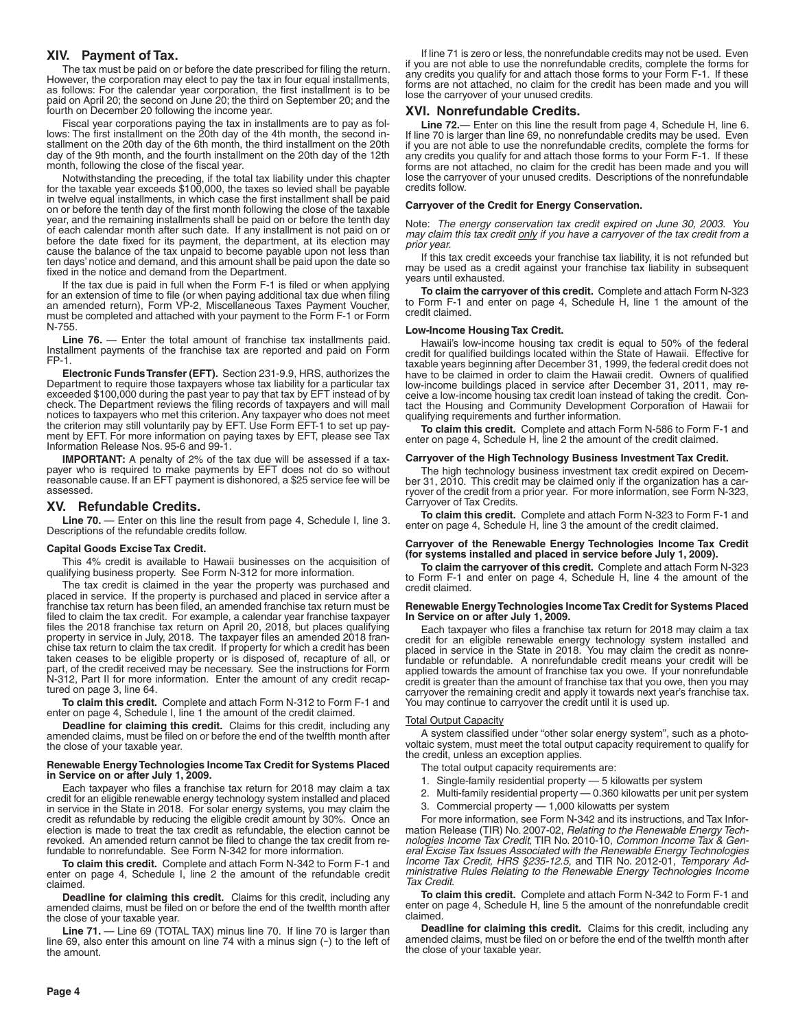### **XIV. Payment of Tax.**

The tax must be paid on or before the date prescribed for filing the return. However, the corporation may elect to pay the tax in four equal installments, as follows: For the calendar year corporation, the first installment is to be paid on April 20; the second on June 20; the third on September 20; and the fourth on December 20 following the income year.

Fiscal year corporations paying the tax in installments are to pay as follows: The first installment on the 20th day of the 4th month, the second installment on the 20th day of the 6th month, the third installment on the 20th day of the 9th month, and the fourth installment on the 20th day of the 12th month, following the close of the fiscal year.

Notwithstanding the preceding, if the total tax liability under this chapter for the taxable year exceeds \$100,000, the taxes so levied shall be payable in twelve equal installments, in which case the first installment shall be paid on or before the tenth day of the first month following the close of the taxable year, and the remaining installments shall be paid on or before the tenth day of each calendar month after such date. If any installment is not paid on or before the date fixed for its payment, the department, at its election may cause the balance of the tax unpaid to become payable upon not less than ten days' notice and demand, and this amount shall be paid upon the date so fixed in the notice and demand from the Department.

If the tax due is paid in full when the Form F-1 is filed or when applying for an extension of time to file (or when paying additional tax due when filing an amended return), Form VP-2, Miscellaneous Taxes Payment Voucher, must be completed and attached with your payment to the Form F-1 or Form N-755.

Line 76. — Enter the total amount of franchise tax installments paid. Installment payments of the franchise tax are reported and paid on Form FP-1.

**Electronic Funds Transfer (EFT).** Section 231-9.9, HRS, authorizes the Department to require those taxpayers whose tax liability for a particular tax exceeded \$100,000 during the past year to pay that tax by EFT instead of by check. The Department reviews the filing records of taxpayers and will mail notices to taxpayers who met this criterion. Any taxpayer who does not meet the criterion may still voluntarily pay by EFT. Use Form EFT-1 to set up payment by EFT. For more information on paying taxes by EFT, please see Tax Information Release Nos. 95-6 and 99-1.

**IMPORTANT:** A penalty of 2% of the tax due will be assessed if a taxpayer who is required to make payments by EFT does not do so without reasonable cause. If an EFT payment is dishonored, a \$25 service fee will be assessed.

### **XV. Refundable Credits.**

Line 70. — Enter on this line the result from page 4, Schedule I, line 3. Descriptions of the refundable credits follow.

#### **Capital Goods Excise Tax Credit.**

This 4% credit is available to Hawaii businesses on the acquisition of qualifying business property. See Form N-312 for more information.

The tax credit is claimed in the year the property was purchased and placed in service. If the property is purchased and placed in service after a franchise tax return has been filed, an amended franchise tax return must be filed to claim the tax credit. For example, a calendar year franchise taxpayer files the 2018 franchise tax return on April 20, 2018, but places qualifying property in service in July, 2018. The taxpayer files an amended 2018 franchise tax return to claim the tax credit. If property for which a credit has been taken ceases to be eligible property or is disposed of, recapture of all, or part, of the credit received may be necessary. See the instructions for Form N-312, Part II for more information. Enter the amount of any credit recaptured on page 3, line 64.

**To claim this credit.** Complete and attach Form N-312 to Form F-1 and enter on page 4, Schedule I, line 1 the amount of the credit claimed.

**Deadline for claiming this credit.** Claims for this credit, including any amended claims, must be filed on or before the end of the twelfth month after the close of your taxable year.

#### **Renewable Energy Technologies Income Tax Credit for Systems Placed in Service on or after July 1, 2009.**

Each taxpayer who files a franchise tax return for 2018 may claim a tax credit for an eligible renewable energy technology system installed and placed in service in the State in 2018. For solar energy systems, you may claim the credit as refundable by reducing the eligible credit amount by 30%. Once an election is made to treat the tax credit as refundable, the election cannot be revoked. An amended return cannot be filed to change the tax credit from refundable to nonrefundable. See Form N-342 for more information.

**To claim this credit.** Complete and attach Form N-342 to Form F-1 and enter on page 4, Schedule I, line 2 the amount of the refundable credit claimed.

**Deadline for claiming this credit.** Claims for this credit, including any amended claims, must be filed on or before the end of the twelfth month after the close of your taxable year.

Line 71. - Line 69 (TOTAL TAX) minus line 70. If line 70 is larger than line 69, also enter this amount on line 74 with a minus sign (-) to the left of the amount.

If line 71 is zero or less, the nonrefundable credits may not be used. Even if you are not able to use the nonrefundable credits, complete the forms for any credits you qualify for and attach those forms to your Form F-1. If these forms are not attached, no claim for the credit has been made and you will lose the carryover of your unused credits.

#### **XVI. Nonrefundable Credits.**

**Line 72.**— Enter on this line the result from page 4, Schedule H, line 6. If line 70 is larger than line 69, no nonrefundable credits may be used. Even if you are not able to use the nonrefundable credits, complete the forms for any credits you qualify for and attach those forms to your Form F-1. If these forms are not attached, no claim for the credit has been made and you will lose the carryover of your unused credits. Descriptions of the nonrefundable credits follow.

#### **Carryover of the Credit for Energy Conservation.**

Note: *The energy conservation tax credit expired on June 30, 2003. You may claim this tax credit only if you have a carryover of the tax credit from a prior year.*

If this tax credit exceeds your franchise tax liability, it is not refunded but may be used as a credit against your franchise tax liability in subsequent years until exhausted.

**To claim the carryover of this credit.** Complete and attach Form N-323 to Form F-1 and enter on page 4, Schedule H, line 1 the amount of the credit claimed.

#### **Low-Income Housing Tax Credit.**

Hawaii's low-income housing tax credit is equal to 50% of the federal credit for qualified buildings located within the State of Hawaii. Effective for taxable years beginning after December 31, 1999, the federal credit does not have to be claimed in order to claim the Hawaii credit. Owners of qualified low-income buildings placed in service after December 31, 2011, may receive a low-income housing tax credit loan instead of taking the credit. Contact the Housing and Community Development Corporation of Hawaii for qualifying requirements and further information.

**To claim this credit.** Complete and attach Form N-586 to Form F-1 and enter on page 4, Schedule H, line 2 the amount of the credit claimed.

#### **Carryover of the High Technology Business Investment Tax Credit.**

The high technology business investment tax credit expired on December 31, 2010. This credit may be claimed only if the organization has a carryover of the credit from a prior year. For more information, see Form N-323, Carryover of Tax Credits.

**To claim this credit.** Complete and attach Form N-323 to Form F-1 and enter on page 4, Schedule H, line 3 the amount of the credit claimed.

#### **Carryover of the Renewable Energy Technologies Income Tax Credit (for systems installed and placed in service before July 1, 2009).**

**To claim the carryover of this credit.** Complete and attach Form N-323 to Form F-1 and enter on page 4, Schedule H, line 4 the amount of the credit claimed.

#### **Renewable Energy Technologies Income Tax Credit for Systems Placed In Service on or after July 1, 2009.**

Each taxpayer who files a franchise tax return for 2018 may claim a tax credit for an eligible renewable energy technology system installed and placed in service in the State in 2018. You may claim the credit as nonrefundable or refundable. A nonrefundable credit means your credit will be applied towards the amount of franchise tax you owe. If your nonrefundable credit is greater than the amount of franchise tax that you owe, then you may carryover the remaining credit and apply it towards next year's franchise tax. You may continue to carryover the credit until it is used up.

#### Total Output Capacity

A system classified under "other solar energy system", such as a photovoltaic system, must meet the total output capacity requirement to qualify for the credit, unless an exception applies.

- The total output capacity requirements are:
- 1. Single-family residential property 5 kilowatts per system
- 2. Multi-family residential property 0.360 kilowatts per unit per system
- 3. Commercial property 1,000 kilowatts per system

For more information, see Form N-342 and its instructions, and Tax Information Release (TIR) No. 2007-02, *Relating to the Renewable Energy Technologies Income Tax Credit*, TIR No. 2010-10, *Common Income Tax & General Excise Tax Issues Associated with the Renewable Energy Technologies Income Tax Credit, HRS §235-12.5*, and TIR No. 2012-01, *Temporary Administrative Rules Relating to the Renewable Energy Technologies Income Tax Credit*.

**To claim this credit.** Complete and attach Form N-342 to Form F-1 and enter on page 4, Schedule H, line 5 the amount of the nonrefundable credit claimed.

**Deadline for claiming this credit.** Claims for this credit, including any amended claims, must be filed on or before the end of the twelfth month after the close of your taxable year.